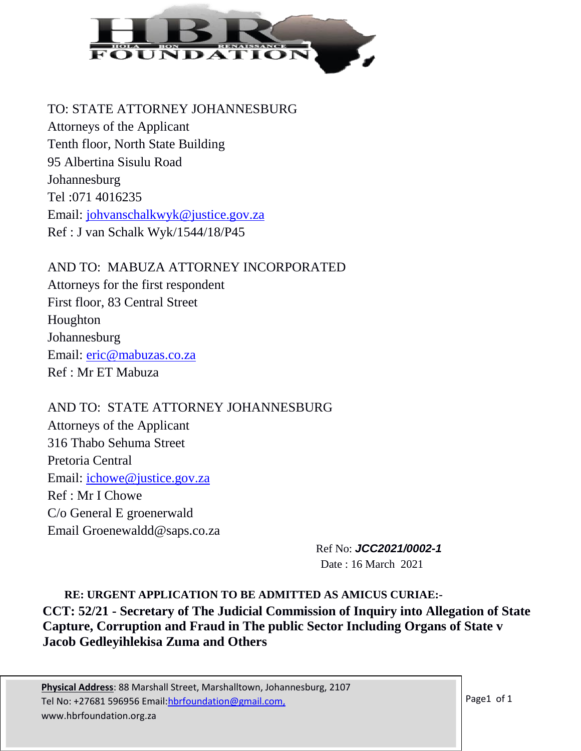

#### TO: STATE ATTORNEY JOHANNESBURG

Attorneys of the Applicant Tenth floor, North State Building 95 Albertina Sisulu Road Johannesburg Tel :071 4016235 Email: [johvanschalkwyk@justice.gov.za](mailto:johvanschalkwyk@justice.gov.za) Ref : J van Schalk Wyk/1544/18/P45

AND TO: MABUZA ATTORNEY INCORPORATED Attorneys for the first respondent First floor, 83 Central Street Houghton **Johannesburg** Email: [eric@mabuzas.co.za](mailto:eric@mabuzas.co.za) Ref : Mr ET Mabuza

AND TO: STATE ATTORNEY JOHANNESBURG Attorneys of the Applicant 316 Thabo Sehuma Street Pretoria Central Email: [ichowe@justice.gov.za](mailto:ichowe@justice.gov.za) Ref : Mr I Chowe C/o General E groenerwald Email Groenewaldd@saps.co.za

> Ref No: *JCC2021/0002-1* Date : 16 March 2021

**RE: URGENT APPLICATION TO BE ADMITTED AS AMICUS CURIAE:- CCT: 52/21 - Secretary of The Judicial Commission of Inquiry into Allegation of State Capture, Corruption and Fraud in The public Sector Including Organs of State v Jacob Gedleyihlekisa Zuma and Others**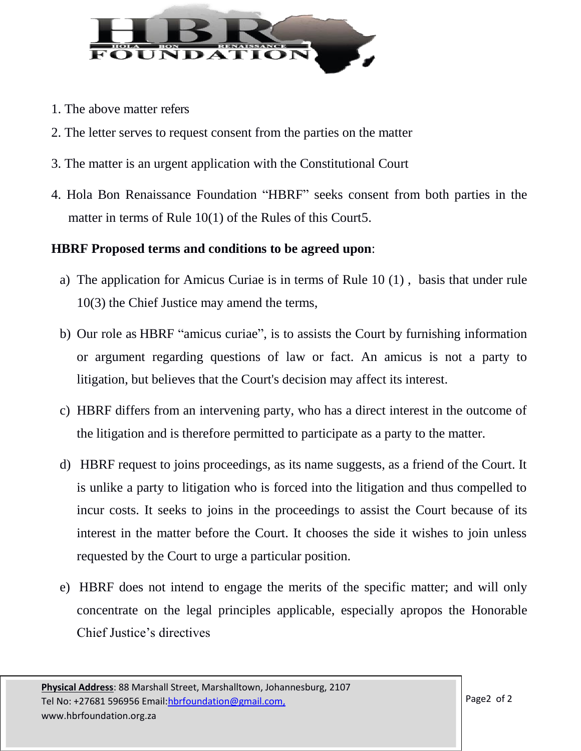

- 1. The above matter refers
- 2. The letter serves to request consent from the parties on the matter
- 3. The matter is an urgent application with the Constitutional Court
- 4. Hola Bon Renaissance Foundation "HBRF" seeks consent from both parties in the matter in terms of Rule 10(1) of the Rules of this Court5.

### **HBRF Proposed terms and conditions to be agreed upon**:

- a) The application for Amicus Curiae is in terms of Rule 10 (1) , basis that under rule 10(3) the Chief Justice may amend the terms,
- b) Our role as HBRF "amicus curiae", is to assists the Court by furnishing information or argument regarding questions of law or fact. An amicus is not a party to litigation, but believes that the Court's decision may affect its interest.
- c) HBRF differs from an intervening party, who has a direct interest in the outcome of the litigation and is therefore permitted to participate as a party to the matter.
- d) HBRF request to joins proceedings, as its name suggests, as a friend of the Court. It is unlike a party to litigation who is forced into the litigation and thus compelled to incur costs. It seeks to joins in the proceedings to assist the Court because of its interest in the matter before the Court. It chooses the side it wishes to join unless requested by the Court to urge a particular position.
- e) HBRF does not intend to engage the merits of the specific matter; and will only concentrate on the legal principles applicable, especially apropos the Honorable Chief Justice's directives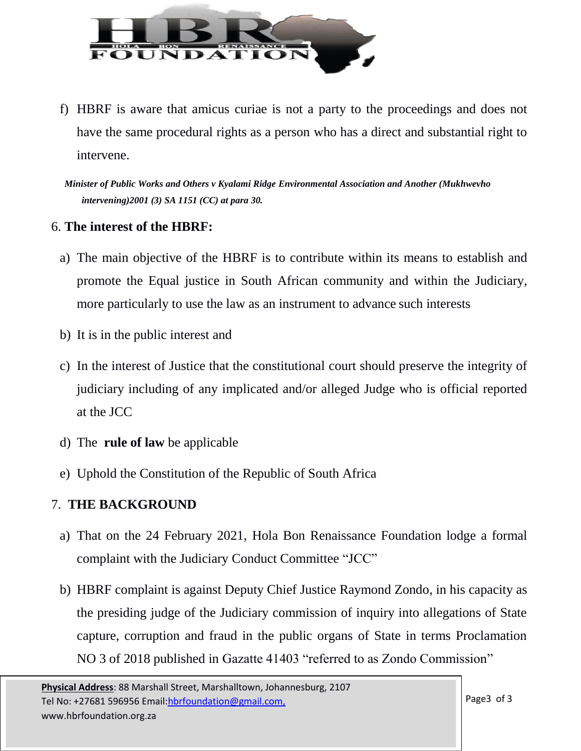

f) HBRF is aware that amicus curiae is not a party to the proceedings and does not have the same procedural rights as a person who has a direct and substantial right to intervene.

*Minister of Public Works and Others v Kyalami Ridge Environmental Association and Another (Mukhwevho intervening)2001 (3) SA 1151 (CC) at para 30.*

### 6. **The interest of the HBRF:**

- a) The main objective of the HBRF is to contribute within its means to establish and promote the Equal justice in South African community and within the Judiciary, more particularly to use the law as an instrument to advance such interests
- b) It is in the public interest and
- c) In the interest of Justice that the constitutional court should preserve the integrity of judiciary including of any implicated and/or alleged Judge who is official reported at the JCC
- d) The **rule of law** be applicable
- e) Uphold the Constitution of the Republic of South Africa

# 7. **THE BACKGROUND**

- a) That on the 24 February 2021, Hola Bon Renaissance Foundation lodge a formal complaint with the Judiciary Conduct Committee "JCC"
- b) HBRF complaint is against Deputy Chief Justice Raymond Zondo, in his capacity as the presiding judge of the Judiciary commission of inquiry into allegations of State capture, corruption and fraud in the public organs of State in terms Proclamation NO 3 of 2018 published in Gazatte 41403 "referred to as Zondo Commission"